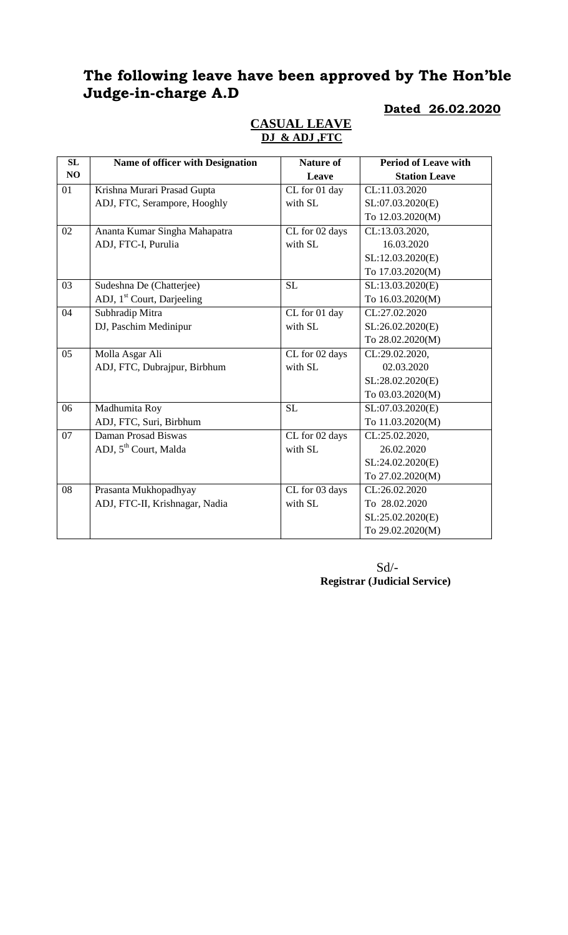## **The following leave have been approved by The Hon'ble Judge-in-charge A.D**

#### **SL NO Name of officer with Designation Nature of Leave Period of Leave with Station Leave** 01 Krishna Murari Prasad Gupta ADJ, FTC, Serampore, Hooghly CL for 01 day with SL CL:11.03.2020 SL:07.03.2020(E) To 12.03.2020(M) 02 Ananta Kumar Singha Mahapatra ADJ, FTC-I, Purulia CL for 02 days with SL CL:13.03.2020, 16.03.2020 SL:12.03.2020(E) To 17.03.2020(M) 03 Sudeshna De (Chatterjee) ADJ, 1<sup>st</sup> Court, Darjeeling SL:13.03.2020(E) To 16.03.2020(M) 04 Subhradip Mitra DJ, Paschim Medinipur CL for 01 day with SL CL:27.02.2020 SL:26.02.2020(E) To 28.02.2020(M) 05 Molla Asgar Ali ADJ, FTC, Dubrajpur, Birbhum CL for 02 days with SL CL:29.02.2020, 02.03.2020 SL:28.02.2020(E) To 03.03.2020(M) 06 Madhumita Roy ADJ, FTC, Suri, Birbhum SL:07.03.2020(E) To 11.03.2020(M) 07 Daman Prosad Biswas ADJ,  $5<sup>th</sup>$  Court, Malda CL for 02 days with SL CL:25.02.2020, 26.02.2020 SL:24.02.2020(E) To 27.02.2020(M) 08 Prasanta Mukhopadhyay ADJ, FTC-II, Krishnagar, Nadia CL for 03 days with SL CL:26.02.2020 To 28.02.2020 SL:25.02.2020(E) To 29.02.2020(M)

## **CASUAL LEAVE DJ & ADJ ,FTC**

**Dated 26.02.2020**

 $Sd$ <sup>-</sup> **Registrar (Judicial Service)**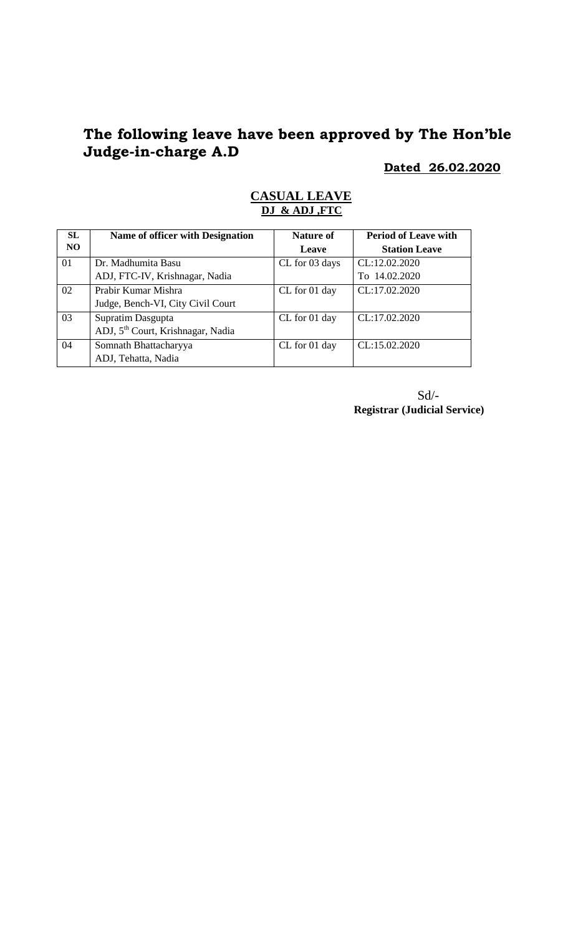# **The following leave have been approved by The Hon'ble Judge-in-charge A.D**

**Dated 26.02.2020**

| <b>SL</b> | Name of officer with Designation              | <b>Nature of</b> | <b>Period of Leave with</b> |
|-----------|-----------------------------------------------|------------------|-----------------------------|
| NO.       |                                               | Leave            | <b>Station Leave</b>        |
| 01        | Dr. Madhumita Basu                            | CL for 03 days   | CL:12.02.2020               |
|           | ADJ, FTC-IV, Krishnagar, Nadia                |                  | To 14.02.2020               |
| 02        | Prabir Kumar Mishra                           | CL for 01 day    | CL:17.02.2020               |
|           | Judge, Bench-VI, City Civil Court             |                  |                             |
| 03        | Supratim Dasgupta                             | CL for 01 day    | CL:17.02.2020               |
|           | ADJ, 5 <sup>th</sup> Court, Krishnagar, Nadia |                  |                             |
| 04        | Somnath Bhattacharyya                         | CL for 01 day    | CL:15.02.2020               |
|           | ADJ, Tehatta, Nadia                           |                  |                             |

#### **CASUAL LEAVE DJ & ADJ ,FTC**

Sd/- **Registrar (Judicial Service)**